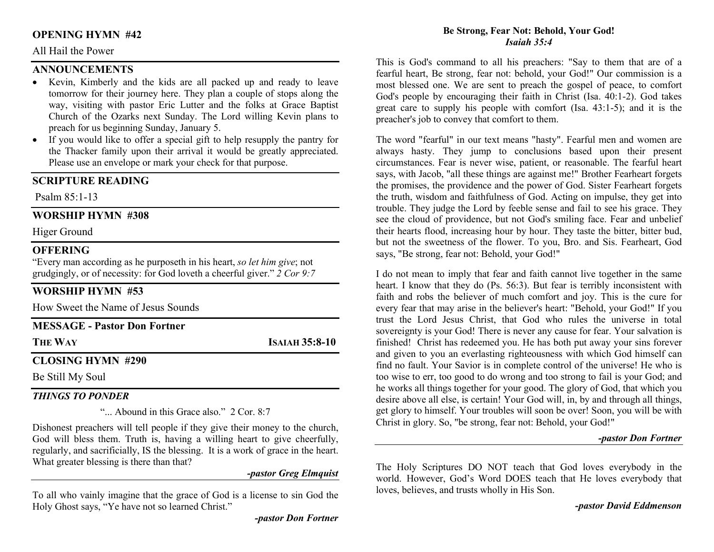## OPENING HYMN #42

#### All Hail the Power

#### **ANNOUNCEMENTS**

- Kevin, Kimberly and the kids are all packed up and ready to leave tomorrow for their journey here. They plan a couple of stops along the way, visiting with pastor Eric Lutter and the folks at Grace Baptist Church of the Ozarks next Sunday. The Lord willing Kevin plans to preach for us beginning Sunday, January 5.
- If you would like to offer a special gift to help resupply the pantry for the Thacker family upon their arrival it would be greatly appreciated. Please use an envelope or mark your check for that purpose.

## SCRIPTURE READING

Psalm 85:1-13

## WORSHIP HYMN #308

Higer Ground

#### **OFFERING**

"Every man according as he purposeth in his heart, so let him give; not grudgingly, or of necessity: for God loveth a cheerful giver."  $\tilde{2}$  Cor 9:7

# WORSHIP HYMN #53

How Sweet the Name of Jesus Sounds

| <b>MESSAGE - Pastor Don Fortner</b> |                       |
|-------------------------------------|-----------------------|
| <b>THE WAY</b>                      | <b>ISAIAH 35:8-10</b> |
| <b>CLOSING HYMN #290</b>            |                       |
| $R = 0.11116 \times 10^{-1}$        |                       |

# Be Still My Soul

#### THINGS TO PONDER

"... Abound in this Grace also." 2 Cor. 8:7

Dishonest preachers will tell people if they give their money to the church, God will bless them. Truth is, having a willing heart to give cheerfully, regularly, and sacrificially, IS the blessing. It is a work of grace in the heart. What greater blessing is there than that?

-pastor Greg Elmquist

To all who vainly imagine that the grace of God is a license to sin God the Holy Ghost says, "Ye have not so learned Christ."

#### Be Strong, Fear Not: Behold, Your God! Isaiah 35:4

This is God's command to all his preachers: "Say to them that are of a fearful heart, Be strong, fear not: behold, your God!" Our commission is a most blessed one. We are sent to preach the gospel of peace, to comfort God's people by encouraging their faith in Christ (Isa. 40:1-2). God takes great care to supply his people with comfort (Isa. 43:1-5); and it is the preacher's job to convey that comfort to them.

The word "fearful" in our text means "hasty". Fearful men and women are always hasty. They jump to conclusions based upon their present circumstances. Fear is never wise, patient, or reasonable. The fearful heart says, with Jacob, "all these things are against me!" Brother Fearheart forgets the promises, the providence and the power of God. Sister Fearheart forgets the truth, wisdom and faithfulness of God. Acting on impulse, they get into trouble. They judge the Lord by feeble sense and fail to see his grace. They see the cloud of providence, but not God's smiling face. Fear and unbelief their hearts flood, increasing hour by hour. They taste the bitter, bitter bud, but not the sweetness of the flower. To you, Bro. and Sis. Fearheart, God says, "Be strong, fear not: Behold, your God!"

I do not mean to imply that fear and faith cannot live together in the same heart. I know that they do (Ps. 56:3). But fear is terribly inconsistent with faith and robs the believer of much comfort and joy. This is the cure for every fear that may arise in the believer's heart: "Behold, your God!" If you trust the Lord Jesus Christ, that God who rules the universe in total sovereignty is your God! There is never any cause for fear. Your salvation is finished! Christ has redeemed you. He has both put away your sins forever and given to you an everlasting righteousness with which God himself can find no fault. Your Savior is in complete control of the universe! He who is too wise to err, too good to do wrong and too strong to fail is your God; and he works all things together for your good. The glory of God, that which you desire above all else, is certain! Your God will, in, by and through all things, get glory to himself. Your troubles will soon be over! Soon, you will be with Christ in glory. So, "be strong, fear not: Behold, your God!"

#### -pastor Don Fortner

The Holy Scriptures DO NOT teach that God loves everybody in the world. However, God's Word DOES teach that He loves everybody that loves, believes, and trusts wholly in His Son.

-pastor David Eddmenson